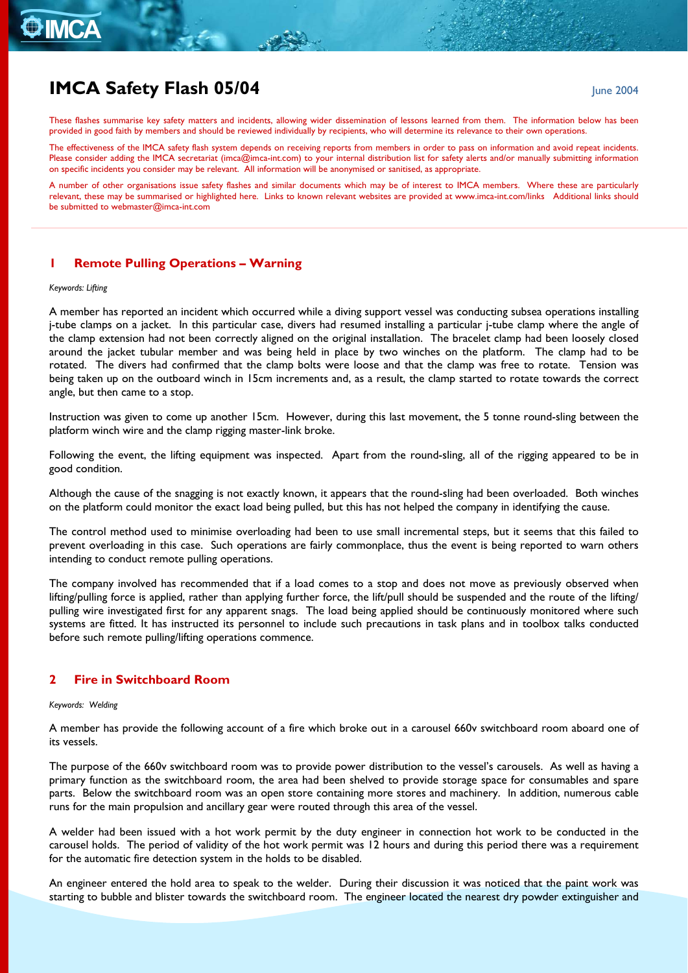# **O** IMCA

## **IMCA Safety Flash 05/04 June 2004 June 2004**

These flashes summarise key safety matters and incidents, allowing wider dissemination of lessons learned from them. The information below has been provided in good faith by members and should be reviewed individually by recipients, who will determine its relevance to their own operations.

The effectiveness of the IMCA safety flash system depends on receiving reports from members in order to pass on information and avoid repeat incidents. Please consider adding the IMCA secretariat ([imca@imca-int.com](mailto:imca@imca-int.com)) to your internal distribution list for safety alerts and/or manually submitting information on specific incidents you consider may be relevant. All information will be anonymised or sanitised, as appropriate.

A number of other organisations issue safety flashes and similar documents which may be of interest to IMCA members. Where these are particularly relevant, these may be summarised or highlighted here. Links to known relevant websites are provided at [www.imca-int.com/links](http://www.imca-int.com/links) Additional links should be submitted to [webmaster@imca-int.com](mailto:webmaster@imca-int.com) 

## **1 Remote Pulling Operations – Warning**

#### *Keywords: Lifting*

A member has reported an incident which occurred while a diving support vessel was conducting subsea operations installing j-tube clamps on a jacket. In this particular case, divers had resumed installing a particular j-tube clamp where the angle of the clamp extension had not been correctly aligned on the original installation. The bracelet clamp had been loosely closed around the jacket tubular member and was being held in place by two winches on the platform. The clamp had to be rotated. The divers had confirmed that the clamp bolts were loose and that the clamp was free to rotate. Tension was being taken up on the outboard winch in 15cm increments and, as a result, the clamp started to rotate towards the correct angle, but then came to a stop.

Instruction was given to come up another 15cm. However, during this last movement, the 5 tonne round-sling between the platform winch wire and the clamp rigging master-link broke.

Following the event, the lifting equipment was inspected. Apart from the round-sling, all of the rigging appeared to be in good condition.

Although the cause of the snagging is not exactly known, it appears that the round-sling had been overloaded. Both winches on the platform could monitor the exact load being pulled, but this has not helped the company in identifying the cause.

The control method used to minimise overloading had been to use small incremental steps, but it seems that this failed to prevent overloading in this case. Such operations are fairly commonplace, thus the event is being reported to warn others intending to conduct remote pulling operations.

The company involved has recommended that if a load comes to a stop and does not move as previously observed when lifting/pulling force is applied, rather than applying further force, the lift/pull should be suspended and the route of the lifting/ pulling wire investigated first for any apparent snags. The load being applied should be continuously monitored where such systems are fitted. It has instructed its personnel to include such precautions in task plans and in toolbox talks conducted before such remote pulling/lifting operations commence.

### **2 Fire in Switchboard Room**

#### *Keywords: Welding*

A member has provide the following account of a fire which broke out in a carousel 660v switchboard room aboard one of its vessels.

The purpose of the 660v switchboard room was to provide power distribution to the vessel's carousels. As well as having a primary function as the switchboard room, the area had been shelved to provide storage space for consumables and spare parts. Below the switchboard room was an open store containing more stores and machinery. In addition, numerous cable runs for the main propulsion and ancillary gear were routed through this area of the vessel.

A welder had been issued with a hot work permit by the duty engineer in connection hot work to be conducted in the carousel holds. The period of validity of the hot work permit was 12 hours and during this period there was a requirement for the automatic fire detection system in the holds to be disabled.

An engineer entered the hold area to speak to the welder. During their discussion it was noticed that the paint work was starting to bubble and blister towards the switchboard room. The engineer located the nearest dry powder extinguisher and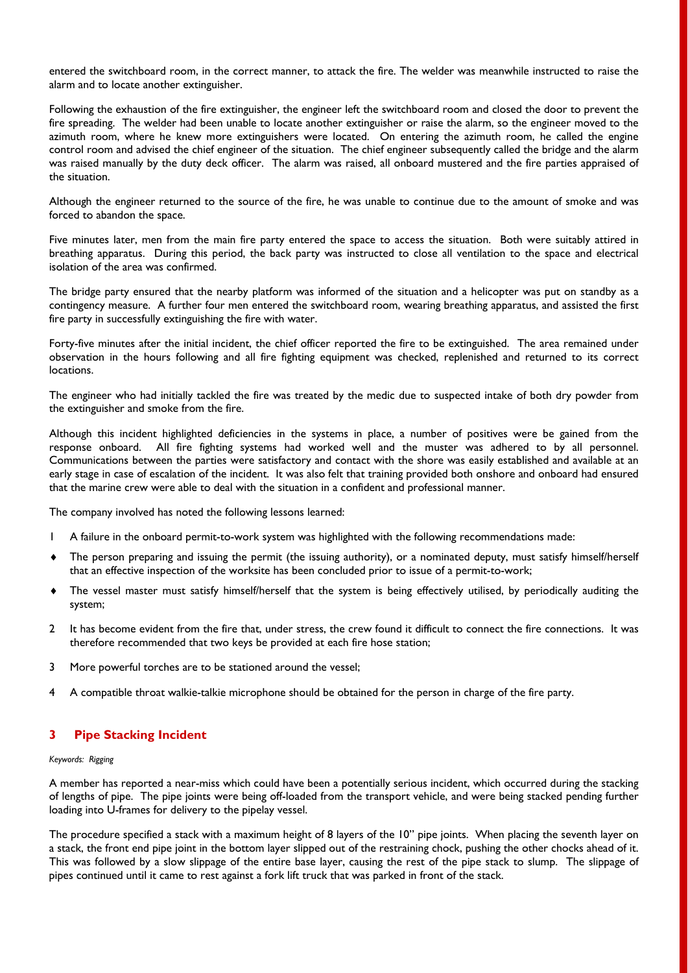entered the switchboard room, in the correct manner, to attack the fire. The welder was meanwhile instructed to raise the alarm and to locate another extinguisher.

Following the exhaustion of the fire extinguisher, the engineer left the switchboard room and closed the door to prevent the fire spreading. The welder had been unable to locate another extinguisher or raise the alarm, so the engineer moved to the azimuth room, where he knew more extinguishers were located. On entering the azimuth room, he called the engine control room and advised the chief engineer of the situation. The chief engineer subsequently called the bridge and the alarm was raised manually by the duty deck officer. The alarm was raised, all onboard mustered and the fire parties appraised of the situation.

Although the engineer returned to the source of the fire, he was unable to continue due to the amount of smoke and was forced to abandon the space.

Five minutes later, men from the main fire party entered the space to access the situation. Both were suitably attired in breathing apparatus. During this period, the back party was instructed to close all ventilation to the space and electrical isolation of the area was confirmed.

The bridge party ensured that the nearby platform was informed of the situation and a helicopter was put on standby as a contingency measure. A further four men entered the switchboard room, wearing breathing apparatus, and assisted the first fire party in successfully extinguishing the fire with water.

Forty-five minutes after the initial incident, the chief officer reported the fire to be extinguished. The area remained under observation in the hours following and all fire fighting equipment was checked, replenished and returned to its correct locations.

The engineer who had initially tackled the fire was treated by the medic due to suspected intake of both dry powder from the extinguisher and smoke from the fire.

Although this incident highlighted deficiencies in the systems in place, a number of positives were be gained from the response onboard. All fire fighting systems had worked well and the muster was adhered to by all personnel. Communications between the parties were satisfactory and contact with the shore was easily established and available at an early stage in case of escalation of the incident. It was also felt that training provided both onshore and onboard had ensured that the marine crew were able to deal with the situation in a confident and professional manner.

The company involved has noted the following lessons learned:

- 1 A failure in the onboard permit-to-work system was highlighted with the following recommendations made:
- The person preparing and issuing the permit (the issuing authority), or a nominated deputy, must satisfy himself/herself that an effective inspection of the worksite has been concluded prior to issue of a permit-to-work;
- The vessel master must satisfy himself/herself that the system is being effectively utilised, by periodically auditing the system;
- 2 It has become evident from the fire that, under stress, the crew found it difficult to connect the fire connections. It was therefore recommended that two keys be provided at each fire hose station;
- 3 More powerful torches are to be stationed around the vessel;
- 4 A compatible throat walkie-talkie microphone should be obtained for the person in charge of the fire party.

## **3 Pipe Stacking Incident**

#### *Keywords: Rigging*

A member has reported a near-miss which could have been a potentially serious incident, which occurred during the stacking of lengths of pipe. The pipe joints were being off-loaded from the transport vehicle, and were being stacked pending further loading into U-frames for delivery to the pipelay vessel.

The procedure specified a stack with a maximum height of 8 layers of the 10'' pipe joints. When placing the seventh layer on a stack, the front end pipe joint in the bottom layer slipped out of the restraining chock, pushing the other chocks ahead of it. This was followed by a slow slippage of the entire base layer, causing the rest of the pipe stack to slump. The slippage of pipes continued until it came to rest against a fork lift truck that was parked in front of the stack.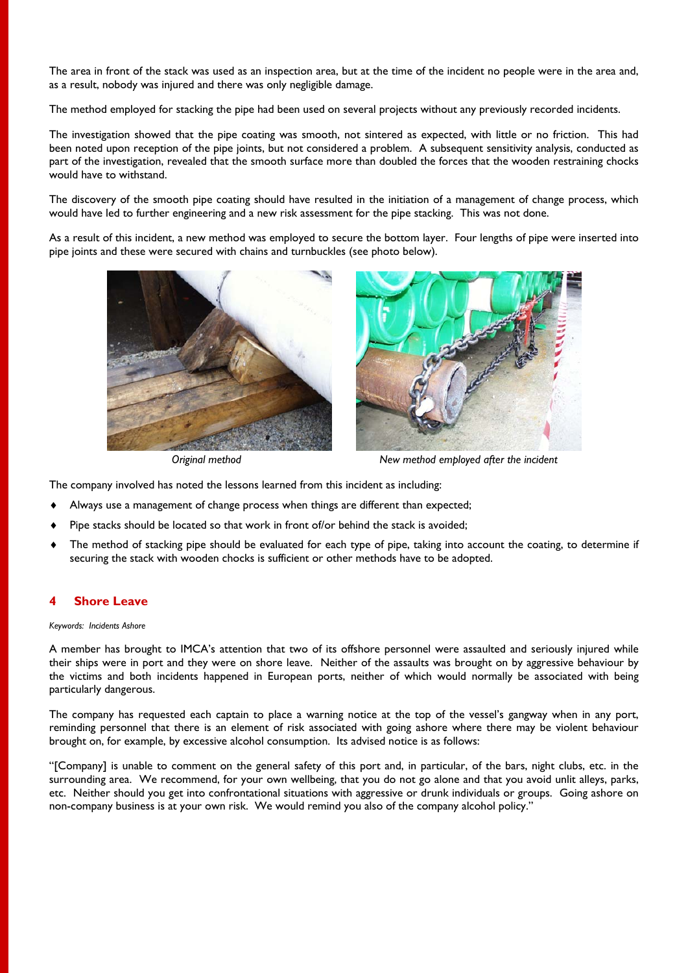The area in front of the stack was used as an inspection area, but at the time of the incident no people were in the area and, as a result, nobody was injured and there was only negligible damage.

The method employed for stacking the pipe had been used on several projects without any previously recorded incidents.

The investigation showed that the pipe coating was smooth, not sintered as expected, with little or no friction. This had been noted upon reception of the pipe joints, but not considered a problem. A subsequent sensitivity analysis, conducted as part of the investigation, revealed that the smooth surface more than doubled the forces that the wooden restraining chocks would have to withstand.

The discovery of the smooth pipe coating should have resulted in the initiation of a management of change process, which would have led to further engineering and a new risk assessment for the pipe stacking. This was not done.

As a result of this incident, a new method was employed to secure the bottom layer. Four lengths of pipe were inserted into pipe joints and these were secured with chains and turnbuckles (see photo below).





*Original method New method employed after the incident* 

The company involved has noted the lessons learned from this incident as including:

- Always use a management of change process when things are different than expected;
- Pipe stacks should be located so that work in front of/or behind the stack is avoided;
- The method of stacking pipe should be evaluated for each type of pipe, taking into account the coating, to determine if securing the stack with wooden chocks is sufficient or other methods have to be adopted.

## **4 Shore Leave**

#### *Keywords: Incidents Ashore*

A member has brought to IMCA's attention that two of its offshore personnel were assaulted and seriously injured while their ships were in port and they were on shore leave. Neither of the assaults was brought on by aggressive behaviour by the victims and both incidents happened in European ports, neither of which would normally be associated with being particularly dangerous.

The company has requested each captain to place a warning notice at the top of the vessel's gangway when in any port, reminding personnel that there is an element of risk associated with going ashore where there may be violent behaviour brought on, for example, by excessive alcohol consumption. Its advised notice is as follows:

"[Company] is unable to comment on the general safety of this port and, in particular, of the bars, night clubs, etc. in the surrounding area. We recommend, for your own wellbeing, that you do not go alone and that you avoid unlit alleys, parks, etc. Neither should you get into confrontational situations with aggressive or drunk individuals or groups. Going ashore on non-company business is at your own risk. We would remind you also of the company alcohol policy."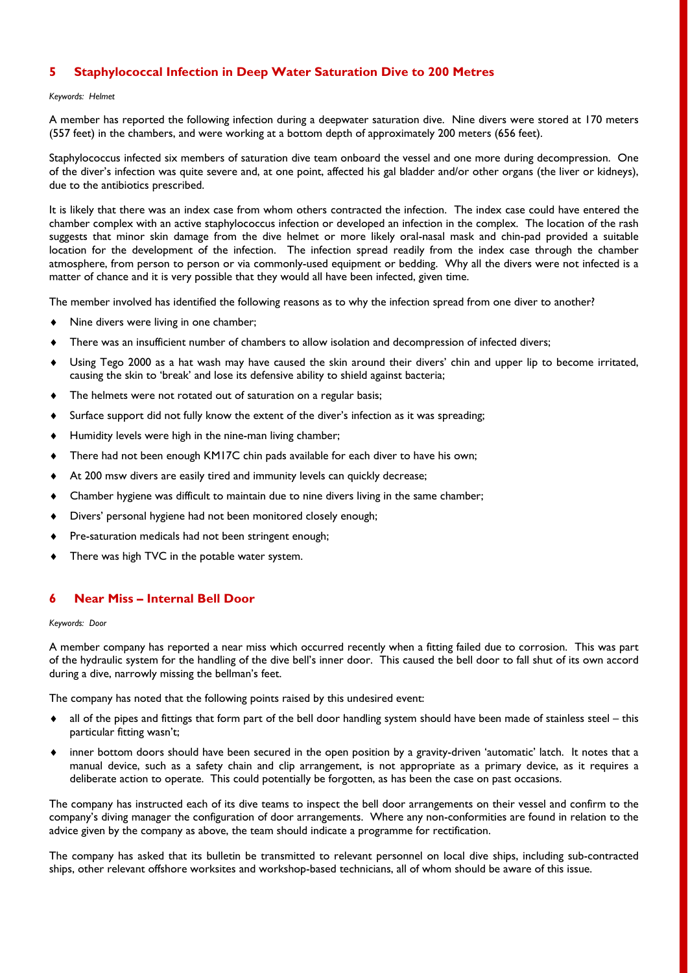## **5 Staphylococcal Infection in Deep Water Saturation Dive to 200 Metres**

#### *Keywords: Helmet*

A member has reported the following infection during a deepwater saturation dive. Nine divers were stored at 170 meters (557 feet) in the chambers, and were working at a bottom depth of approximately 200 meters (656 feet).

Staphylococcus infected six members of saturation dive team onboard the vessel and one more during decompression. One of the diver's infection was quite severe and, at one point, affected his gal bladder and/or other organs (the liver or kidneys), due to the antibiotics prescribed.

It is likely that there was an index case from whom others contracted the infection. The index case could have entered the chamber complex with an active staphylococcus infection or developed an infection in the complex. The location of the rash suggests that minor skin damage from the dive helmet or more likely oral-nasal mask and chin-pad provided a suitable location for the development of the infection. The infection spread readily from the index case through the chamber atmosphere, from person to person or via commonly-used equipment or bedding. Why all the divers were not infected is a matter of chance and it is very possible that they would all have been infected, given time.

The member involved has identified the following reasons as to why the infection spread from one diver to another?

- $\bullet$  Nine divers were living in one chamber;
- There was an insufficient number of chambers to allow isolation and decompression of infected divers;
- Using Tego 2000 as a hat wash may have caused the skin around their divers' chin and upper lip to become irritated, causing the skin to 'break' and lose its defensive ability to shield against bacteria;
- The helmets were not rotated out of saturation on a regular basis;
- Surface support did not fully know the extent of the diver's infection as it was spreading;
- Humidity levels were high in the nine-man living chamber;
- There had not been enough KM17C chin pads available for each diver to have his own;
- At 200 msw divers are easily tired and immunity levels can quickly decrease;
- Chamber hygiene was difficult to maintain due to nine divers living in the same chamber;
- Divers' personal hygiene had not been monitored closely enough;
- Pre-saturation medicals had not been stringent enough;
- There was high TVC in the potable water system.

## **6 Near Miss – Internal Bell Door**

#### *Keywords: Door*

A member company has reported a near miss which occurred recently when a fitting failed due to corrosion. This was part of the hydraulic system for the handling of the dive bell's inner door. This caused the bell door to fall shut of its own accord during a dive, narrowly missing the bellman's feet.

The company has noted that the following points raised by this undesired event:

- all of the pipes and fittings that form part of the bell door handling system should have been made of stainless steel this particular fitting wasn't;
- inner bottom doors should have been secured in the open position by a gravity-driven 'automatic' latch. It notes that a manual device, such as a safety chain and clip arrangement, is not appropriate as a primary device, as it requires a deliberate action to operate. This could potentially be forgotten, as has been the case on past occasions.

The company has instructed each of its dive teams to inspect the bell door arrangements on their vessel and confirm to the company's diving manager the configuration of door arrangements. Where any non-conformities are found in relation to the advice given by the company as above, the team should indicate a programme for rectification.

The company has asked that its bulletin be transmitted to relevant personnel on local dive ships, including sub-contracted ships, other relevant offshore worksites and workshop-based technicians, all of whom should be aware of this issue.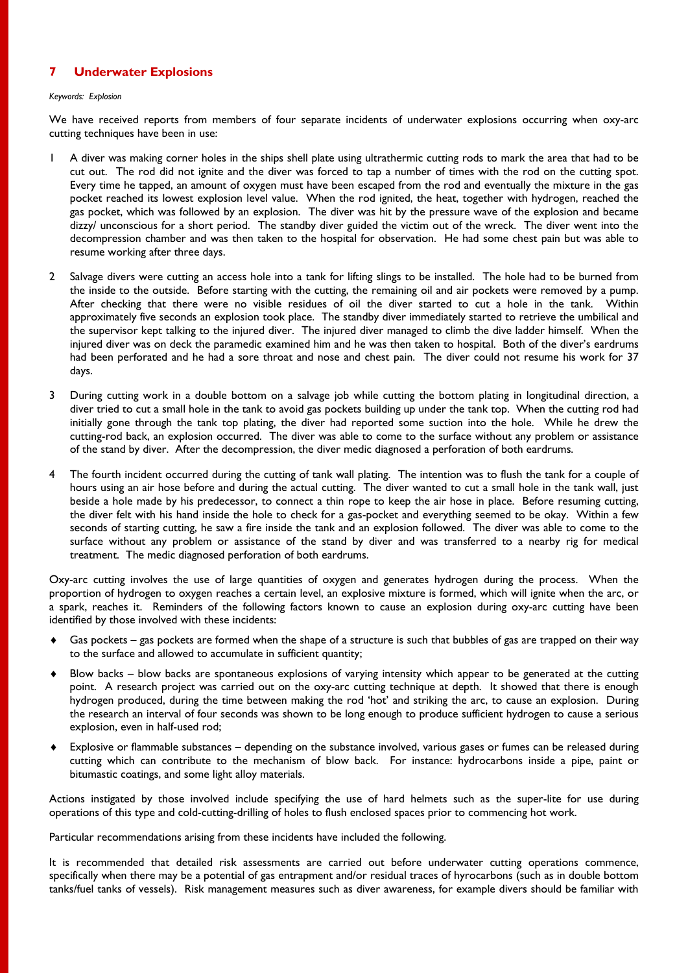## **7 Underwater Explosions**

#### *Keywords: Explosion*

We have received reports from members of four separate incidents of underwater explosions occurring when oxy-arc cutting techniques have been in use:

- 1 A diver was making corner holes in the ships shell plate using ultrathermic cutting rods to mark the area that had to be cut out. The rod did not ignite and the diver was forced to tap a number of times with the rod on the cutting spot. Every time he tapped, an amount of oxygen must have been escaped from the rod and eventually the mixture in the gas pocket reached its lowest explosion level value. When the rod ignited, the heat, together with hydrogen, reached the gas pocket, which was followed by an explosion. The diver was hit by the pressure wave of the explosion and became dizzy/ unconscious for a short period. The standby diver guided the victim out of the wreck. The diver went into the decompression chamber and was then taken to the hospital for observation. He had some chest pain but was able to resume working after three days.
- 2 Salvage divers were cutting an access hole into a tank for lifting slings to be installed. The hole had to be burned from the inside to the outside. Before starting with the cutting, the remaining oil and air pockets were removed by a pump. After checking that there were no visible residues of oil the diver started to cut a hole in the tank. Within approximately five seconds an explosion took place. The standby diver immediately started to retrieve the umbilical and the supervisor kept talking to the injured diver. The injured diver managed to climb the dive ladder himself. When the injured diver was on deck the paramedic examined him and he was then taken to hospital. Both of the diver's eardrums had been perforated and he had a sore throat and nose and chest pain. The diver could not resume his work for 37 days.
- 3 During cutting work in a double bottom on a salvage job while cutting the bottom plating in longitudinal direction, a diver tried to cut a small hole in the tank to avoid gas pockets building up under the tank top. When the cutting rod had initially gone through the tank top plating, the diver had reported some suction into the hole. While he drew the cutting-rod back, an explosion occurred. The diver was able to come to the surface without any problem or assistance of the stand by diver. After the decompression, the diver medic diagnosed a perforation of both eardrums.
- 4 The fourth incident occurred during the cutting of tank wall plating. The intention was to flush the tank for a couple of hours using an air hose before and during the actual cutting. The diver wanted to cut a small hole in the tank wall, just beside a hole made by his predecessor, to connect a thin rope to keep the air hose in place. Before resuming cutting, the diver felt with his hand inside the hole to check for a gas-pocket and everything seemed to be okay. Within a few seconds of starting cutting, he saw a fire inside the tank and an explosion followed. The diver was able to come to the surface without any problem or assistance of the stand by diver and was transferred to a nearby rig for medical treatment. The medic diagnosed perforation of both eardrums.

Oxy-arc cutting involves the use of large quantities of oxygen and generates hydrogen during the process. When the proportion of hydrogen to oxygen reaches a certain level, an explosive mixture is formed, which will ignite when the arc, or a spark, reaches it. Reminders of the following factors known to cause an explosion during oxy-arc cutting have been identified by those involved with these incidents:

- Gas pockets gas pockets are formed when the shape of a structure is such that bubbles of gas are trapped on their way to the surface and allowed to accumulate in sufficient quantity;
- Blow backs blow backs are spontaneous explosions of varying intensity which appear to be generated at the cutting point. A research project was carried out on the oxy-arc cutting technique at depth. It showed that there is enough hydrogen produced, during the time between making the rod 'hot' and striking the arc, to cause an explosion. During the research an interval of four seconds was shown to be long enough to produce sufficient hydrogen to cause a serious explosion, even in half-used rod;
- Explosive or flammable substances depending on the substance involved, various gases or fumes can be released during cutting which can contribute to the mechanism of blow back. For instance: hydrocarbons inside a pipe, paint or bitumastic coatings, and some light alloy materials.

Actions instigated by those involved include specifying the use of hard helmets such as the super-lite for use during operations of this type and cold-cutting-drilling of holes to flush enclosed spaces prior to commencing hot work.

Particular recommendations arising from these incidents have included the following.

It is recommended that detailed risk assessments are carried out before underwater cutting operations commence, specifically when there may be a potential of gas entrapment and/or residual traces of hyrocarbons (such as in double bottom tanks/fuel tanks of vessels). Risk management measures such as diver awareness, for example divers should be familiar with